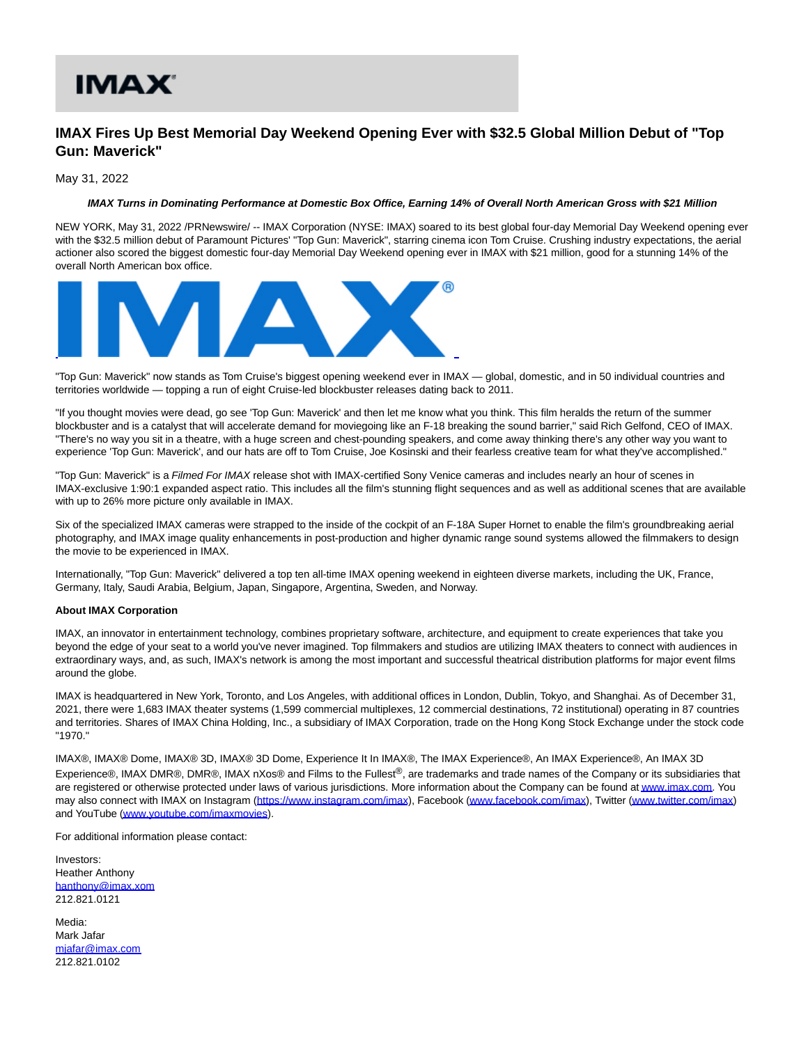## IMAX'

## **IMAX Fires Up Best Memorial Day Weekend Opening Ever with \$32.5 Global Million Debut of "Top Gun: Maverick"**

May 31, 2022

## **IMAX Turns in Dominating Performance at Domestic Box Office, Earning 14% of Overall North American Gross with \$21 Million**

NEW YORK, May 31, 2022 /PRNewswire/ -- IMAX Corporation (NYSE: IMAX) soared to its best global four-day Memorial Day Weekend opening ever with the \$32.5 million debut of Paramount Pictures' "Top Gun: Maverick", starring cinema icon Tom Cruise. Crushing industry expectations, the aerial actioner also scored the biggest domestic four-day Memorial Day Weekend opening ever in IMAX with \$21 million, good for a stunning 14% of the overall North American box office.



"Top Gun: Maverick" now stands as Tom Cruise's biggest opening weekend ever in IMAX — global, domestic, and in 50 individual countries and territories worldwide — topping a run of eight Cruise-led blockbuster releases dating back to 2011.

"If you thought movies were dead, go see 'Top Gun: Maverick' and then let me know what you think. This film heralds the return of the summer blockbuster and is a catalyst that will accelerate demand for moviegoing like an F-18 breaking the sound barrier," said Rich Gelfond, CEO of IMAX. "There's no way you sit in a theatre, with a huge screen and chest-pounding speakers, and come away thinking there's any other way you want to experience 'Top Gun: Maverick', and our hats are off to Tom Cruise, Joe Kosinski and their fearless creative team for what they've accomplished."

"Top Gun: Maverick" is a Filmed For IMAX release shot with IMAX-certified Sony Venice cameras and includes nearly an hour of scenes in IMAX-exclusive 1:90:1 expanded aspect ratio. This includes all the film's stunning flight sequences and as well as additional scenes that are available with up to 26% more picture only available in IMAX.

Six of the specialized IMAX cameras were strapped to the inside of the cockpit of an F-18A Super Hornet to enable the film's groundbreaking aerial photography, and IMAX image quality enhancements in post-production and higher dynamic range sound systems allowed the filmmakers to design the movie to be experienced in IMAX.

Internationally, "Top Gun: Maverick" delivered a top ten all-time IMAX opening weekend in eighteen diverse markets, including the UK, France, Germany, Italy, Saudi Arabia, Belgium, Japan, Singapore, Argentina, Sweden, and Norway.

## **About IMAX Corporation**

IMAX, an innovator in entertainment technology, combines proprietary software, architecture, and equipment to create experiences that take you beyond the edge of your seat to a world you've never imagined. Top filmmakers and studios are utilizing IMAX theaters to connect with audiences in extraordinary ways, and, as such, IMAX's network is among the most important and successful theatrical distribution platforms for major event films around the globe.

IMAX is headquartered in New York, Toronto, and Los Angeles, with additional offices in London, Dublin, Tokyo, and Shanghai. As of December 31, 2021, there were 1,683 IMAX theater systems (1,599 commercial multiplexes, 12 commercial destinations, 72 institutional) operating in 87 countries and territories. Shares of IMAX China Holding, Inc., a subsidiary of IMAX Corporation, trade on the Hong Kong Stock Exchange under the stock code "1970."

IMAX®, IMAX® Dome, IMAX® 3D, IMAX® 3D Dome, Experience It In IMAX®, The IMAX Experience®, An IMAX Experience®, An IMAX 3D Experience®, IMAX DMR®, DMR®, IMAX nXos® and Films to the Fullest®, are trademarks and trade names of the Company or its subsidiaries that are registered or otherwise protected under laws of various jurisdictions. More information about the Company can be found a[t www.imax.com.](https://c212.net/c/link/?t=0&l=en&o=3552208-1&h=580932871&u=https%3A%2F%2Fcan01.safelinks.protection.outlook.com%2F%3Furl%3Dhttps%253A%252F%252Fc212.net%252Fc%252Flink%252F%253Ft%253D0%2526l%253Den%2526o%253D3111197-1%2526h%253D3605156466%2526u%253Dhttp%25253A%25252F%25252Fwww.imax.com%25252F%2526a%253Dwww.imax.com%26data%3D04%257C01%257C%257C2780f7da044a4636c44408d8faa1ace6%257C690377a2597f481ca498b51532ed1e7d%257C0%257C0%257C637534919629982952%257CUnknown%257CTWFpbGZsb3d8eyJWIjoiMC4wLjAwMDAiLCJQIjoiV2luMzIiLCJBTiI6Ik1haWwiLCJXVCI6Mn0%253D%257C1000%26sdata%3DoJfhB7rQIYARiRC3iOpcFFvQEHOG9hEzrnykzEEnSiE%253D%26reserved%3D0&a=www.imax.com) You may also connect with IMAX on Instagram [\(https://www.instagram.com/imax\)](https://c212.net/c/link/?t=0&l=en&o=3552208-1&h=4265714752&u=https%3A%2F%2Fcan01.safelinks.protection.outlook.com%2F%3Furl%3Dhttps%253A%252F%252Fc212.net%252Fc%252Flink%252F%253Ft%253D0%2526l%253Den%2526o%253D3111197-1%2526h%253D2801932019%2526u%253Dhttps%25253A%25252F%25252Fc212.net%25252Fc%25252Flink%25252F%25253Ft%25253D0%252526l%25253Den%252526o%25253D3086159-1%252526h%25253D2034273947%252526u%25253Dhttps%2525253A%2525252F%2525252Fwww.instagram.com%2525252Fimax%252526a%25253Dhttps%2525253A%2525252F%2525252Fwww.instagram.com%2525252Fimax%2526a%253Dhttps%25253A%25252F%25252Fwww.instagram.com%25252Fimax%26data%3D04%257C01%257C%257C2780f7da044a4636c44408d8faa1ace6%257C690377a2597f481ca498b51532ed1e7d%257C0%257C0%257C637534919629992947%257CUnknown%257CTWFpbGZsb3d8eyJWIjoiMC4wLjAwMDAiLCJQIjoiV2luMzIiLCJBTiI6Ik1haWwiLCJXVCI6Mn0%253D%257C1000%26sdata%3DK99urBsaeMZcB8hbuvkK6Q8TXYzJzA2%252Fn1L0QQLSY0I%253D%26reserved%3D0&a=https%3A%2F%2Fwww.instagram.com%2Fimax), Facebook [\(www.facebook.com/imax\),](https://c212.net/c/link/?t=0&l=en&o=3552208-1&h=2341756568&u=https%3A%2F%2Fcan01.safelinks.protection.outlook.com%2F%3Furl%3Dhttps%253A%252F%252Fc212.net%252Fc%252Flink%252F%253Ft%253D0%2526l%253Den%2526o%253D3111197-1%2526h%253D2994690867%2526u%253Dhttp%25253A%25252F%25252Fwww.facebook.com%25252Fimax%2526a%253Dwww.facebook.com%25252Fimax%26data%3D04%257C01%257C%257C2780f7da044a4636c44408d8faa1ace6%257C690377a2597f481ca498b51532ed1e7d%257C0%257C0%257C637534919630002944%257CUnknown%257CTWFpbGZsb3d8eyJWIjoiMC4wLjAwMDAiLCJQIjoiV2luMzIiLCJBTiI6Ik1haWwiLCJXVCI6Mn0%253D%257C1000%26sdata%3DVSdPIYYHeBUHx619Yc58ujRcGndK71V1SSDQeQ1Y7PE%253D%26reserved%3D0&a=www.facebook.com%2Fimax) Twitter [\(www.twitter.com/imax\)](https://c212.net/c/link/?t=0&l=en&o=3552208-1&h=1163407961&u=https%3A%2F%2Fcan01.safelinks.protection.outlook.com%2F%3Furl%3Dhttps%253A%252F%252Fc212.net%252Fc%252Flink%252F%253Ft%253D0%2526l%253Den%2526o%253D3111197-1%2526h%253D4030573392%2526u%253Dhttp%25253A%25252F%25252Fwww.twitter.com%25252Fimax%2526a%253Dwww.twitter.com%25252Fimax%26data%3D04%257C01%257C%257C2780f7da044a4636c44408d8faa1ace6%257C690377a2597f481ca498b51532ed1e7d%257C0%257C0%257C637534919630002944%257CUnknown%257CTWFpbGZsb3d8eyJWIjoiMC4wLjAwMDAiLCJQIjoiV2luMzIiLCJBTiI6Ik1haWwiLCJXVCI6Mn0%253D%257C1000%26sdata%3DbHQtvKGLj4EHt%252BvEPK68AtRaEX3cDqOYrV5UZtJLFu0%253D%26reserved%3D0&a=www.twitter.com%2Fimax) and YouTube [\(www.youtube.com/imaxmovies\).](https://c212.net/c/link/?t=0&l=en&o=3552208-1&h=3047855207&u=https%3A%2F%2Fcan01.safelinks.protection.outlook.com%2F%3Furl%3Dhttps%253A%252F%252Fc212.net%252Fc%252Flink%252F%253Ft%253D0%2526l%253Den%2526o%253D3111197-1%2526h%253D3894448382%2526u%253Dhttps%25253A%25252F%25252Fc212.net%25252Fc%25252Flink%25252F%25253Ft%25253D0%252526l%25253Den%252526o%25253D3086159-1%252526h%25253D1562934794%252526u%25253Dhttp%2525253A%2525252F%2525252Fwww.youtube.com%2525252Fimaxmovies%252526a%25253Dwww.youtube.com%2525252Fimaxmovies%2526a%253Dwww.youtube.com%25252Fimaxmovies%26data%3D04%257C01%257C%257C2780f7da044a4636c44408d8faa1ace6%257C690377a2597f481ca498b51532ed1e7d%257C0%257C0%257C637534919630012937%257CUnknown%257CTWFpbGZsb3d8eyJWIjoiMC4wLjAwMDAiLCJQIjoiV2luMzIiLCJBTiI6Ik1haWwiLCJXVCI6Mn0%253D%257C1000%26sdata%3DS0qWs79%252F7dQ2Ns%252FPshE4dYHtqAHpxcSwSCH%252FJxrRumE%253D%26reserved%3D0&a=www.youtube.com%2Fimaxmovies)

For additional information please contact:

Investors: Heather Anthony [hanthony@imax.xom](mailto:hanthony@imax.xom) 212.821.0121

Media: Mark Jafar [mjafar@imax.com](mailto:mjafar@imax.com) 212.821.0102